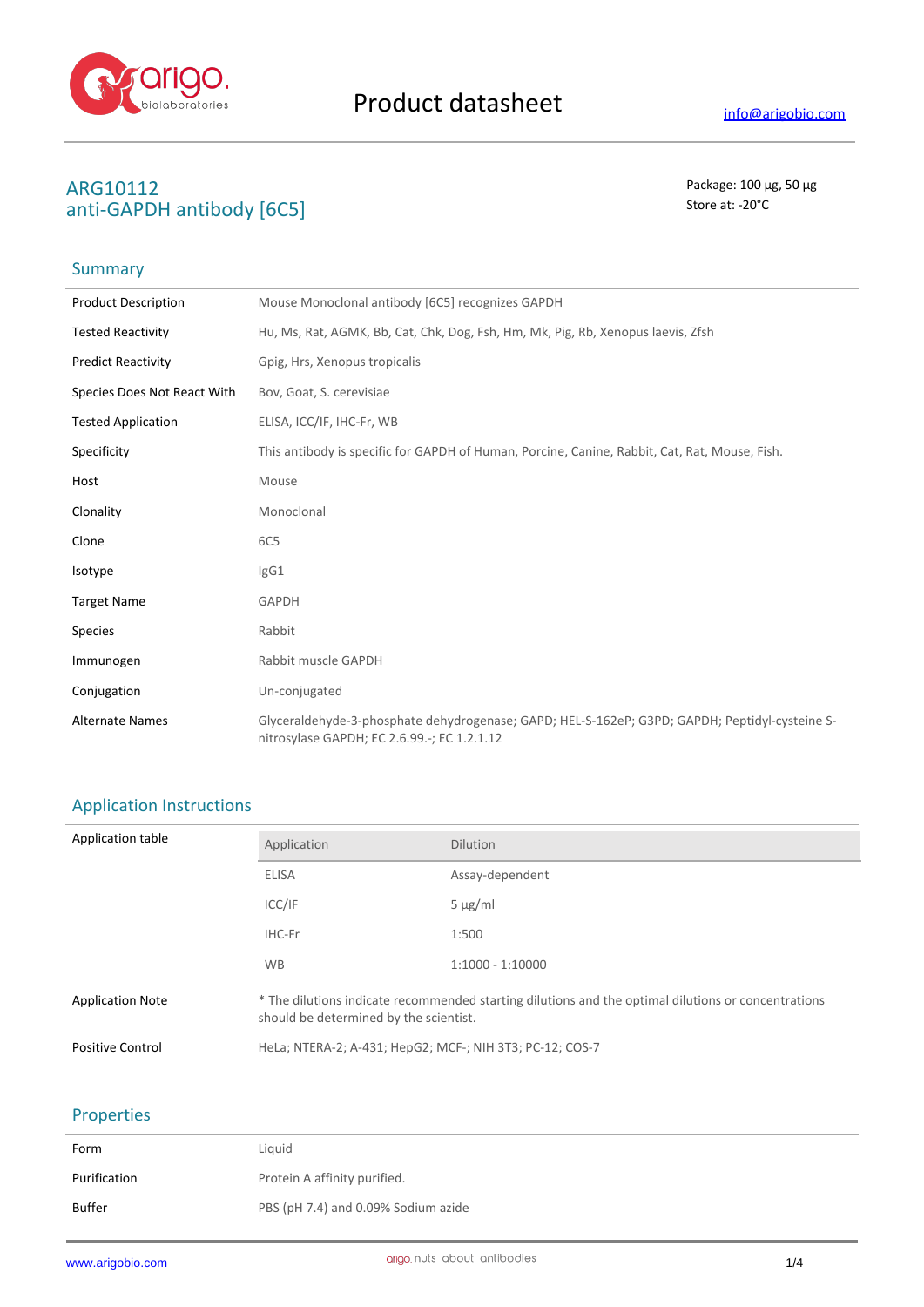

# ARG10112<br> **ARG10112** Package: 100 μg, 50 μg<br>
anti-GADDH antibody [6C5] anti-GAPDH antibody [6C5]

## Summary

| <b>Product Description</b>  | Mouse Monoclonal antibody [6C5] recognizes GAPDH                                                                                               |
|-----------------------------|------------------------------------------------------------------------------------------------------------------------------------------------|
| <b>Tested Reactivity</b>    | Hu, Ms, Rat, AGMK, Bb, Cat, Chk, Dog, Fsh, Hm, Mk, Pig, Rb, Xenopus laevis, Zfsh                                                               |
| <b>Predict Reactivity</b>   | Gpig, Hrs, Xenopus tropicalis                                                                                                                  |
| Species Does Not React With | Bov, Goat, S. cerevisiae                                                                                                                       |
| <b>Tested Application</b>   | ELISA, ICC/IF, IHC-Fr, WB                                                                                                                      |
| Specificity                 | This antibody is specific for GAPDH of Human, Porcine, Canine, Rabbit, Cat, Rat, Mouse, Fish.                                                  |
| Host                        | Mouse                                                                                                                                          |
| Clonality                   | Monoclonal                                                                                                                                     |
| Clone                       | 6C5                                                                                                                                            |
| Isotype                     | IgG1                                                                                                                                           |
| <b>Target Name</b>          | GAPDH                                                                                                                                          |
| <b>Species</b>              | Rabbit                                                                                                                                         |
| Immunogen                   | Rabbit muscle GAPDH                                                                                                                            |
| Conjugation                 | Un-conjugated                                                                                                                                  |
| <b>Alternate Names</b>      | Glyceraldehyde-3-phosphate dehydrogenase; GAPD; HEL-S-162eP; G3PD; GAPDH; Peptidyl-cysteine S-<br>nitrosylase GAPDH; EC 2.6.99 .-; EC 1.2.1.12 |

## Application Instructions

| Application table       | Application                                                                                                                                   | <b>Dilution</b>    |
|-------------------------|-----------------------------------------------------------------------------------------------------------------------------------------------|--------------------|
|                         | <b>ELISA</b>                                                                                                                                  | Assay-dependent    |
|                         | ICC/IF                                                                                                                                        | $5 \mu g/ml$       |
|                         | IHC-Fr                                                                                                                                        | 1:500              |
|                         | <b>WB</b>                                                                                                                                     | $1:1000 - 1:10000$ |
| <b>Application Note</b> | * The dilutions indicate recommended starting dilutions and the optimal dilutions or concentrations<br>should be determined by the scientist. |                    |
| <b>Positive Control</b> | HeLa; NTERA-2; A-431; HepG2; MCF-; NIH 3T3; PC-12; COS-7                                                                                      |                    |

### Properties

| Form         | Liguid                              |
|--------------|-------------------------------------|
| Purification | Protein A affinity purified.        |
| Buffer       | PBS (pH 7.4) and 0.09% Sodium azide |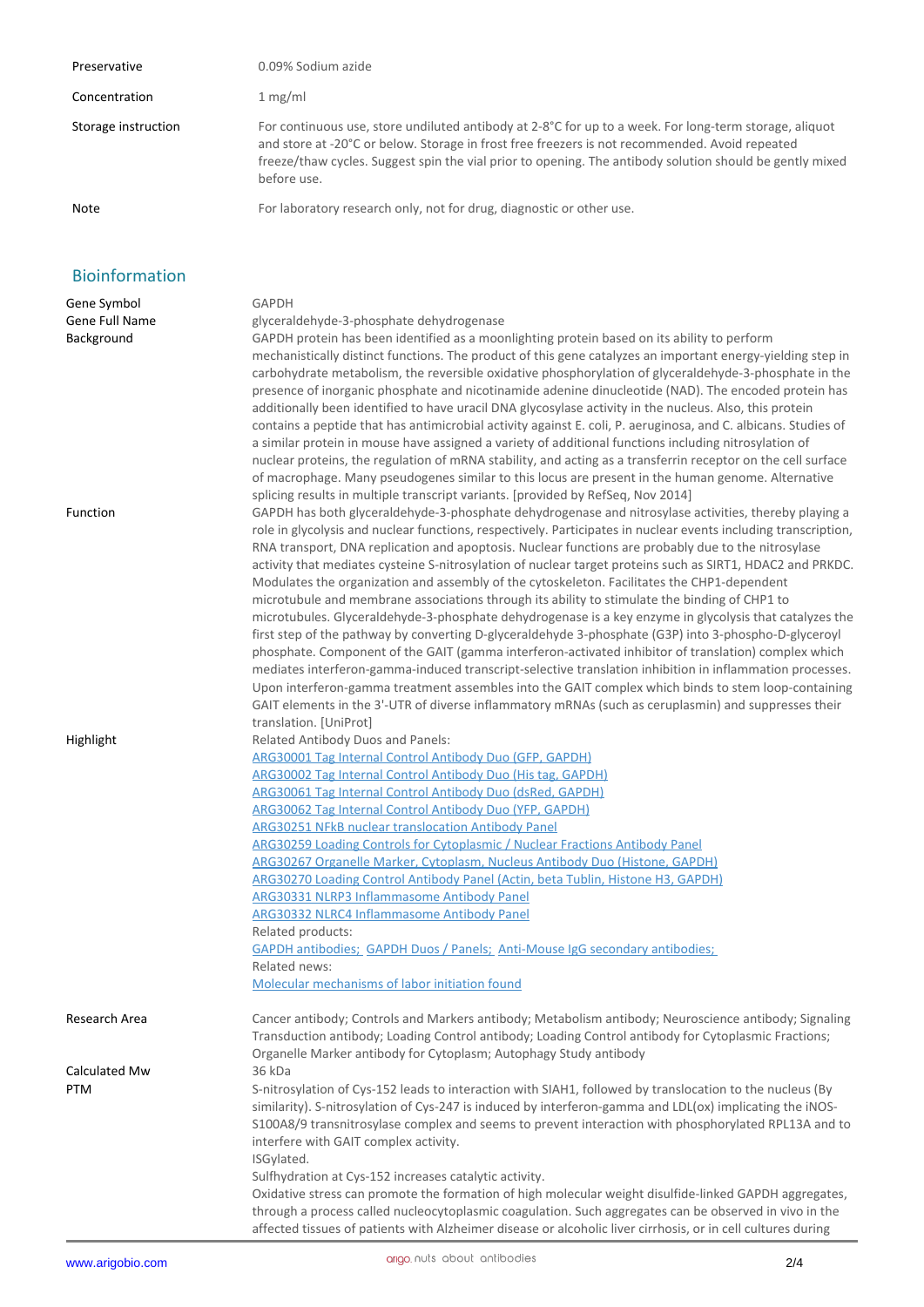| Preservative        | 0.09% Sodium azide                                                                                                                                                                                                                                                                                                                  |
|---------------------|-------------------------------------------------------------------------------------------------------------------------------------------------------------------------------------------------------------------------------------------------------------------------------------------------------------------------------------|
| Concentration       | 1 mg/ml                                                                                                                                                                                                                                                                                                                             |
| Storage instruction | For continuous use, store undiluted antibody at 2-8°C for up to a week. For long-term storage, aliquot<br>and store at -20°C or below. Storage in frost free freezers is not recommended. Avoid repeated<br>freeze/thaw cycles. Suggest spin the vial prior to opening. The antibody solution should be gently mixed<br>before use. |
| Note                | For laboratory research only, not for drug, diagnostic or other use.                                                                                                                                                                                                                                                                |

### Bioinformation

| Gene Symbol<br>Gene Full Name<br>Background | GAPDH<br>glyceraldehyde-3-phosphate dehydrogenase<br>GAPDH protein has been identified as a moonlighting protein based on its ability to perform<br>mechanistically distinct functions. The product of this gene catalyzes an important energy-yielding step in                                                                                                                                                                                                                                                                                                                                                                                                      |     |  |  |
|---------------------------------------------|----------------------------------------------------------------------------------------------------------------------------------------------------------------------------------------------------------------------------------------------------------------------------------------------------------------------------------------------------------------------------------------------------------------------------------------------------------------------------------------------------------------------------------------------------------------------------------------------------------------------------------------------------------------------|-----|--|--|
|                                             | carbohydrate metabolism, the reversible oxidative phosphorylation of glyceraldehyde-3-phosphate in the<br>presence of inorganic phosphate and nicotinamide adenine dinucleotide (NAD). The encoded protein has<br>additionally been identified to have uracil DNA glycosylase activity in the nucleus. Also, this protein<br>contains a peptide that has antimicrobial activity against E. coli, P. aeruginosa, and C. albicans. Studies of<br>a similar protein in mouse have assigned a variety of additional functions including nitrosylation of<br>nuclear proteins, the regulation of mRNA stability, and acting as a transferrin receptor on the cell surface |     |  |  |
| Function                                    | of macrophage. Many pseudogenes similar to this locus are present in the human genome. Alternative<br>splicing results in multiple transcript variants. [provided by RefSeq, Nov 2014]<br>GAPDH has both glyceraldehyde-3-phosphate dehydrogenase and nitrosylase activities, thereby playing a<br>role in glycolysis and nuclear functions, respectively. Participates in nuclear events including transcription,<br>RNA transport, DNA replication and apoptosis. Nuclear functions are probably due to the nitrosylase                                                                                                                                            |     |  |  |
|                                             | activity that mediates cysteine S-nitrosylation of nuclear target proteins such as SIRT1, HDAC2 and PRKDC.<br>Modulates the organization and assembly of the cytoskeleton. Facilitates the CHP1-dependent<br>microtubule and membrane associations through its ability to stimulate the binding of CHP1 to<br>microtubules. Glyceraldehyde-3-phosphate dehydrogenase is a key enzyme in glycolysis that catalyzes the<br>first step of the pathway by converting D-glyceraldehyde 3-phosphate (G3P) into 3-phospho-D-glyceroyl                                                                                                                                       |     |  |  |
|                                             | phosphate. Component of the GAIT (gamma interferon-activated inhibitor of translation) complex which<br>mediates interferon-gamma-induced transcript-selective translation inhibition in inflammation processes.<br>Upon interferon-gamma treatment assembles into the GAIT complex which binds to stem loop-containing<br>GAIT elements in the 3'-UTR of diverse inflammatory mRNAs (such as ceruplasmin) and suppresses their<br>translation. [UniProt]                                                                                                                                                                                                            |     |  |  |
| Highlight                                   | Related Antibody Duos and Panels:                                                                                                                                                                                                                                                                                                                                                                                                                                                                                                                                                                                                                                    |     |  |  |
|                                             | <b>ARG30001 Tag Internal Control Antibody Duo (GFP, GAPDH)</b>                                                                                                                                                                                                                                                                                                                                                                                                                                                                                                                                                                                                       |     |  |  |
|                                             | <b>ARG30002 Tag Internal Control Antibody Duo (His tag, GAPDH)</b>                                                                                                                                                                                                                                                                                                                                                                                                                                                                                                                                                                                                   |     |  |  |
|                                             | ARG30061 Tag Internal Control Antibody Duo (dsRed, GAPDH)                                                                                                                                                                                                                                                                                                                                                                                                                                                                                                                                                                                                            |     |  |  |
|                                             | <b>ARG30062 Tag Internal Control Antibody Duo (YFP, GAPDH)</b>                                                                                                                                                                                                                                                                                                                                                                                                                                                                                                                                                                                                       |     |  |  |
|                                             | <b>ARG30251 NFkB nuclear translocation Antibody Panel</b>                                                                                                                                                                                                                                                                                                                                                                                                                                                                                                                                                                                                            |     |  |  |
|                                             | ARG30259 Loading Controls for Cytoplasmic / Nuclear Fractions Antibody Panel                                                                                                                                                                                                                                                                                                                                                                                                                                                                                                                                                                                         |     |  |  |
|                                             | ARG30267 Organelle Marker, Cytoplasm, Nucleus Antibody Duo (Histone, GAPDH)                                                                                                                                                                                                                                                                                                                                                                                                                                                                                                                                                                                          |     |  |  |
|                                             | ARG30270 Loading Control Antibody Panel (Actin, beta Tublin, Histone H3, GAPDH)                                                                                                                                                                                                                                                                                                                                                                                                                                                                                                                                                                                      |     |  |  |
|                                             | ARG30331 NLRP3 Inflammasome Antibody Panel                                                                                                                                                                                                                                                                                                                                                                                                                                                                                                                                                                                                                           |     |  |  |
|                                             | <b>ARG30332 NLRC4 Inflammasome Antibody Panel</b>                                                                                                                                                                                                                                                                                                                                                                                                                                                                                                                                                                                                                    |     |  |  |
|                                             | Related products:                                                                                                                                                                                                                                                                                                                                                                                                                                                                                                                                                                                                                                                    |     |  |  |
|                                             | <b>GAPDH antibodies: GAPDH Duos / Panels: Anti-Mouse IgG secondary antibodies:</b>                                                                                                                                                                                                                                                                                                                                                                                                                                                                                                                                                                                   |     |  |  |
|                                             | Related news:                                                                                                                                                                                                                                                                                                                                                                                                                                                                                                                                                                                                                                                        |     |  |  |
|                                             | Molecular mechanisms of labor initiation found                                                                                                                                                                                                                                                                                                                                                                                                                                                                                                                                                                                                                       |     |  |  |
| Research Area                               | Cancer antibody; Controls and Markers antibody; Metabolism antibody; Neuroscience antibody; Signaling                                                                                                                                                                                                                                                                                                                                                                                                                                                                                                                                                                |     |  |  |
|                                             | Transduction antibody; Loading Control antibody; Loading Control antibody for Cytoplasmic Fractions;                                                                                                                                                                                                                                                                                                                                                                                                                                                                                                                                                                 |     |  |  |
|                                             | Organelle Marker antibody for Cytoplasm; Autophagy Study antibody                                                                                                                                                                                                                                                                                                                                                                                                                                                                                                                                                                                                    |     |  |  |
| Calculated Mw                               | 36 kDa                                                                                                                                                                                                                                                                                                                                                                                                                                                                                                                                                                                                                                                               |     |  |  |
| PTM                                         | S-nitrosylation of Cys-152 leads to interaction with SIAH1, followed by translocation to the nucleus (By                                                                                                                                                                                                                                                                                                                                                                                                                                                                                                                                                             |     |  |  |
|                                             | similarity). S-nitrosylation of Cys-247 is induced by interferon-gamma and LDL(ox) implicating the iNOS-                                                                                                                                                                                                                                                                                                                                                                                                                                                                                                                                                             |     |  |  |
|                                             | S100A8/9 transnitrosylase complex and seems to prevent interaction with phosphorylated RPL13A and to                                                                                                                                                                                                                                                                                                                                                                                                                                                                                                                                                                 |     |  |  |
|                                             | interfere with GAIT complex activity.                                                                                                                                                                                                                                                                                                                                                                                                                                                                                                                                                                                                                                |     |  |  |
|                                             | ISGylated.                                                                                                                                                                                                                                                                                                                                                                                                                                                                                                                                                                                                                                                           |     |  |  |
|                                             | Sulfhydration at Cys-152 increases catalytic activity.                                                                                                                                                                                                                                                                                                                                                                                                                                                                                                                                                                                                               |     |  |  |
|                                             | Oxidative stress can promote the formation of high molecular weight disulfide-linked GAPDH aggregates,<br>through a process called nucleocytoplasmic coagulation. Such aggregates can be observed in vivo in the<br>affected tissues of patients with Alzheimer disease or alcoholic liver cirrhosis, or in cell cultures during                                                                                                                                                                                                                                                                                                                                     |     |  |  |
| www.arigobio.com                            | arigo.nuts about antibodies                                                                                                                                                                                                                                                                                                                                                                                                                                                                                                                                                                                                                                          | 2/4 |  |  |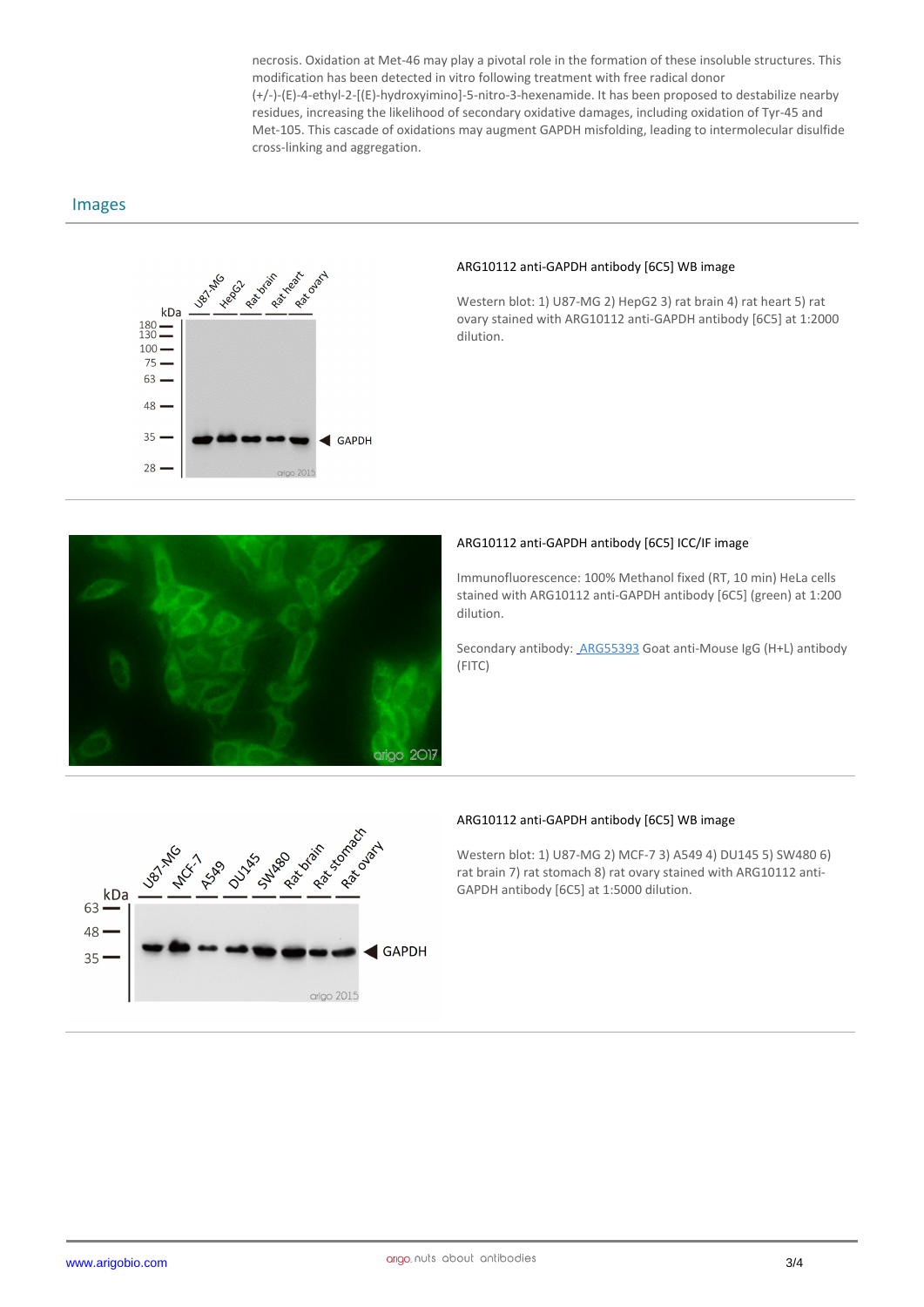necrosis. Oxidation at Met-46 may play a pivotal role in the formation of these insoluble structures. This modification has been detected in vitro following treatment with free radical donor (+/-)-(E)-4-ethyl-2-[(E)-hydroxyimino]-5-nitro-3-hexenamide. It has been proposed to destabilize nearby residues, increasing the likelihood of secondary oxidative damages, including oxidation of Tyr-45 and Met-105. This cascade of oxidations may augment GAPDH misfolding, leading to intermolecular disulfide cross-linking and aggregation.

#### Images



#### **ARG10112 anti-GAPDH antibody [6C5] WB image**

Western blot: 1) U87-MG 2) HepG2 3) rat brain 4) rat heart 5) rat ovary stained with ARG10112 anti-GAPDH antibody [6C5] at 1:2000 dilution.



#### **ARG10112 anti-GAPDH antibody [6C5] ICC/IF image**

Immunofluorescence: 100% Methanol fixed (RT, 10 min) HeLa cells stained with ARG10112 anti-GAPDH antibody [6C5] (green) at 1:200 dilution.

Secondary antibody: ARG55393 Goat anti-Mouse IgG (H+L) antibody (FITC)



#### **ARG10112 anti-GAPDH antibody [6C5] WB image**

Western blot: 1) U87-MG 2) MCF-7 3) A549 4) DU145 5) SW480 6) rat brain 7) rat stomach 8) rat ovary stained with ARG10112 anti-GAPDH antibody [6C5] at 1:5000 dilution.